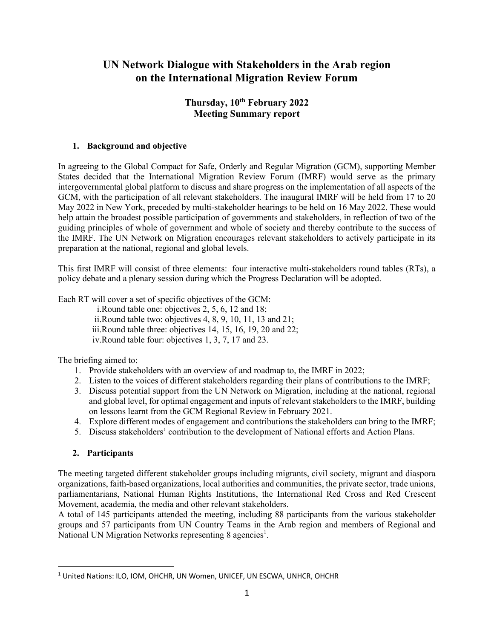# **UN Network Dialogue with Stakeholders in the Arab region on the International Migration Review Forum**

# **Thursday, 10th February 2022 Meeting Summary report**

# **1. Background and objective**

In agreeing to the Global Compact for Safe, Orderly and Regular Migration (GCM), supporting Member States decided that the International Migration Review Forum (IMRF) would serve as the primary intergovernmental global platform to discuss and share progress on the implementation of all aspects of the GCM, with the participation of all relevant stakeholders. The inaugural IMRF will be held from 17 to 20 May 2022 in New York, preceded by multi-stakeholder hearings to be held on 16 May 2022. These would help attain the broadest possible participation of governments and stakeholders, in reflection of two of the guiding principles of whole of government and whole of society and thereby contribute to the success of the IMRF. The UN Network on Migration encourages relevant stakeholders to actively participate in its preparation at the national, regional and global levels.

This first IMRF will consist of three elements: four interactive multi-stakeholders round tables (RTs), a policy debate and a plenary session during which the Progress Declaration will be adopted.

Each RT will cover a set of specific objectives of the GCM:

i.Round table one: objectives 2, 5, 6, 12 and 18;

ii.Round table two: objectives 4, 8, 9, 10, 11, 13 and 21;

iii.Round table three: objectives 14, 15, 16, 19, 20 and 22;

iv.Round table four: objectives 1, 3, 7, 17 and 23.

The briefing aimed to:

- 1. Provide stakeholders with an overview of and roadmap to, the IMRF in 2022;
- 2. Listen to the voices of different stakeholders regarding their plans of contributions to the IMRF;
- 3. Discuss potential support from the UN Network on Migration, including at the national, regional and global level, for optimal engagement and inputs of relevant stakeholders to the IMRF, building on lessons learnt from the GCM Regional Review in February 2021.
- 4. Explore different modes of engagement and contributions the stakeholders can bring to the IMRF;
- 5. Discuss stakeholders' contribution to the development of National efforts and Action Plans.

# **2. Participants**

The meeting targeted different stakeholder groups including migrants, civil society, migrant and diaspora organizations, faith-based organizations, local authorities and communities, the private sector, trade unions, parliamentarians, National Human Rights Institutions, the International Red Cross and Red Crescent Movement, academia, the media and other relevant stakeholders.

A total of 145 participants attended the meeting, including 88 participants from the various stakeholder groups and 57 participants from UN Country Teams in the Arab region and members of Regional and National UN Migration Networks representing 8 agencies<sup>1</sup>.

<sup>&</sup>lt;sup>1</sup> United Nations: ILO, IOM, OHCHR, UN Women, UNICEF, UN ESCWA, UNHCR, OHCHR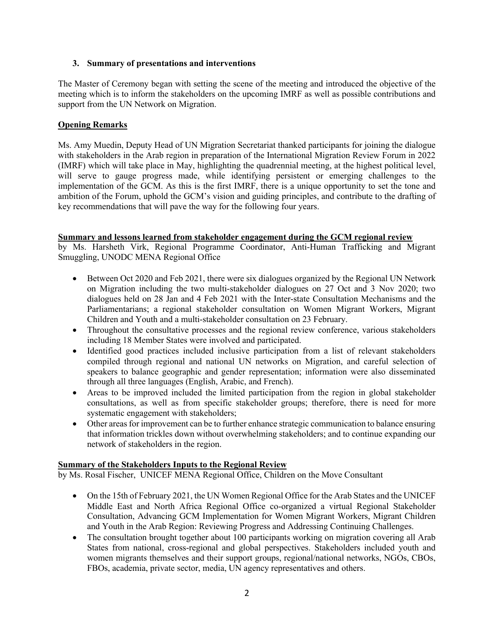#### **3. Summary of presentations and interventions**

The Master of Ceremony began with setting the scene of the meeting and introduced the objective of the meeting which is to inform the stakeholders on the upcoming IMRF as well as possible contributions and support from the UN Network on Migration.

# **Opening Remarks**

Ms. Amy Muedin, Deputy Head of UN Migration Secretariat thanked participants for joining the dialogue with stakeholders in the Arab region in preparation of the International Migration Review Forum in 2022 (IMRF) which will take place in May, highlighting the quadrennial meeting, at the highest political level, will serve to gauge progress made, while identifying persistent or emerging challenges to the implementation of the GCM. As this is the first IMRF, there is a unique opportunity to set the tone and ambition of the Forum, uphold the GCM's vision and guiding principles, and contribute to the drafting of key recommendations that will pave the way for the following four years.

#### **Summary and lessons learned from stakeholder engagement during the GCM regional review**

by Ms. Harsheth Virk, Regional Programme Coordinator, Anti-Human Trafficking and Migrant Smuggling, UNODC MENA Regional Office

- Between Oct 2020 and Feb 2021, there were six dialogues organized by the Regional UN Network on Migration including the two multi-stakeholder dialogues on 27 Oct and 3 Nov 2020; two dialogues held on 28 Jan and 4 Feb 2021 with the Inter-state Consultation Mechanisms and the Parliamentarians; a regional stakeholder consultation on Women Migrant Workers, Migrant Children and Youth and a multi-stakeholder consultation on 23 February.
- Throughout the consultative processes and the regional review conference, various stakeholders including 18 Member States were involved and participated.
- Identified good practices included inclusive participation from a list of relevant stakeholders compiled through regional and national UN networks on Migration, and careful selection of speakers to balance geographic and gender representation; information were also disseminated through all three languages (English, Arabic, and French).
- Areas to be improved included the limited participation from the region in global stakeholder consultations, as well as from specific stakeholder groups; therefore, there is need for more systematic engagement with stakeholders;
- Other areas for improvement can be to further enhance strategic communication to balance ensuring that information trickles down without overwhelming stakeholders; and to continue expanding our network of stakeholders in the region.

#### **Summary of the Stakeholders Inputs to the Regional Review**

by Ms. Rosal Fischer, UNICEF MENA Regional Office, Children on the Move Consultant

- On the 15th of February 2021, the UN Women Regional Office for the Arab States and the UNICEF Middle East and North Africa Regional Office co-organized a virtual Regional Stakeholder Consultation, Advancing GCM Implementation for Women Migrant Workers, Migrant Children and Youth in the Arab Region: Reviewing Progress and Addressing Continuing Challenges.
- The consultation brought together about 100 participants working on migration covering all Arab States from national, cross-regional and global perspectives. Stakeholders included youth and women migrants themselves and their support groups, regional/national networks, NGOs, CBOs, FBOs, academia, private sector, media, UN agency representatives and others.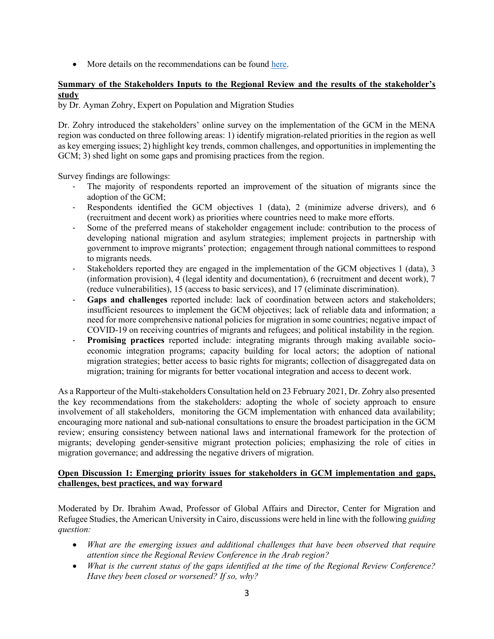• More details on the recommendations can be found here.

# **Summary of the Stakeholders Inputs to the Regional Review and the results of the stakeholder's study**

by Dr. Ayman Zohry, Expert on Population and Migration Studies

Dr. Zohry introduced the stakeholders' online survey on the implementation of the GCM in the MENA region was conducted on three following areas: 1) identify migration-related priorities in the region as well as key emerging issues; 2) highlight key trends, common challenges, and opportunities in implementing the GCM; 3) shed light on some gaps and promising practices from the region.

Survey findings are followings:

- The majority of respondents reported an improvement of the situation of migrants since the adoption of the GCM;
- Respondents identified the GCM objectives 1 (data), 2 (minimize adverse drivers), and 6 (recruitment and decent work) as priorities where countries need to make more efforts.
- Some of the preferred means of stakeholder engagement include: contribution to the process of developing national migration and asylum strategies; implement projects in partnership with government to improve migrants' protection; engagement through national committees to respond to migrants needs.
- Stakeholders reported they are engaged in the implementation of the GCM objectives 1 (data), 3 (information provision), 4 (legal identity and documentation), 6 (recruitment and decent work), 7 (reduce vulnerabilities), 15 (access to basic services), and 17 (eliminate discrimination).
- **Gaps and challenges** reported include: lack of coordination between actors and stakeholders; insufficient resources to implement the GCM objectives; lack of reliable data and information; a need for more comprehensive national policies for migration in some countries; negative impact of COVID-19 on receiving countries of migrants and refugees; and political instability in the region.
- **Promising practices** reported include: integrating migrants through making available socioeconomic integration programs; capacity building for local actors; the adoption of national migration strategies; better access to basic rights for migrants; collection of disaggregated data on migration; training for migrants for better vocational integration and access to decent work.

As a Rapporteur of the Multi-stakeholders Consultation held on 23 February 2021, Dr. Zohry also presented the key recommendations from the stakeholders: adopting the whole of society approach to ensure involvement of all stakeholders, monitoring the GCM implementation with enhanced data availability; encouraging more national and sub-national consultations to ensure the broadest participation in the GCM review; ensuring consistency between national laws and international framework for the protection of migrants; developing gender-sensitive migrant protection policies; emphasizing the role of cities in migration governance; and addressing the negative drivers of migration.

# **Open Discussion 1: Emerging priority issues for stakeholders in GCM implementation and gaps, challenges, best practices, and way forward**

Moderated by Dr. Ibrahim Awad, Professor of Global Affairs and Director, Center for Migration and Refugee Studies, the American University in Cairo, discussions were held in line with the following *guiding question:*

- *What are the emerging issues and additional challenges that have been observed that require attention since the Regional Review Conference in the Arab region?*
- *What is the current status of the gaps identified at the time of the Regional Review Conference? Have they been closed or worsened? If so, why?*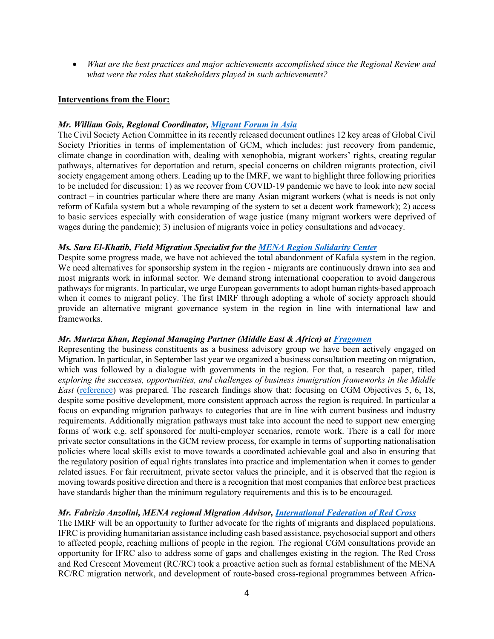• *What are the best practices and major achievements accomplished since the Regional Review and what were the roles that stakeholders played in such achievements?*

#### **Interventions from the Floor:**

#### *Mr. William Gois, Regional Coordinator, Migrant Forum in Asia*

The Civil Society Action Committee in its recently released document outlines 12 key areas of Global Civil Society Priorities in terms of implementation of GCM, which includes: just recovery from pandemic, climate change in coordination with, dealing with xenophobia, migrant workers' rights, creating regular pathways, alternatives for deportation and return, special concerns on children migrants protection, civil society engagement among others. Leading up to the IMRF, we want to highlight three following priorities to be included for discussion: 1) as we recover from COVID-19 pandemic we have to look into new social contract – in countries particular where there are many Asian migrant workers (what is needs is not only reform of Kafala system but a whole revamping of the system to set a decent work framework); 2) access to basic services especially with consideration of wage justice (many migrant workers were deprived of wages during the pandemic); 3) inclusion of migrants voice in policy consultations and advocacy.

#### *Ms. Sara El-Khatib, Field Migration Specialist for the MENA Region Solidarity Center*

Despite some progress made, we have not achieved the total abandonment of Kafala system in the region. We need alternatives for sponsorship system in the region - migrants are continuously drawn into sea and most migrants work in informal sector. We demand strong international cooperation to avoid dangerous pathways for migrants. In particular, we urge European governments to adopt human rights-based approach when it comes to migrant policy. The first IMRF through adopting a whole of society approach should provide an alternative migrant governance system in the region in line with international law and frameworks.

#### *Mr. Murtaza Khan, Regional Managing Partner (Middle East & Africa) at Fragomen*

Representing the business constituents as a business advisory group we have been actively engaged on Migration. In particular, in September last year we organized a business consultation meeting on migration, which was followed by a dialogue with governments in the region. For that, a research paper, titled *exploring the successes, opportunities, and challenges of business immigration frameworks in the Middle East* (reference) was prepared. The research findings show that: focusing on CGM Objectives 5, 6, 18, despite some positive development, more consistent approach across the region is required. In particular a focus on expanding migration pathways to categories that are in line with current business and industry requirements. Additionally migration pathways must take into account the need to support new emerging forms of work e.g. self sponsored for multi-employer scenarios, remote work. There is a call for more private sector consultations in the GCM review process, for example in terms of supporting nationalisation policies where local skills exist to move towards a coordinated achievable goal and also in ensuring that the regulatory position of equal rights translates into practice and implementation when it comes to gender related issues. For fair recruitment, private sector values the principle, and it is observed that the region is moving towards positive direction and there is a recognition that most companies that enforce best practices have standards higher than the minimum regulatory requirements and this is to be encouraged.

#### *Mr. Fabrizio Anzolini, MENA regional Migration Advisor, International Federation of Red Cross*

The IMRF will be an opportunity to further advocate for the rights of migrants and displaced populations. IFRC is providing humanitarian assistance including cash based assistance, psychosocial support and others to affected people, reaching millions of people in the region. The regional CGM consultations provide an opportunity for IFRC also to address some of gaps and challenges existing in the region. The Red Cross and Red Crescent Movement (RC/RC) took a proactive action such as formal establishment of the MENA RC/RC migration network, and development of route-based cross-regional programmes between Africa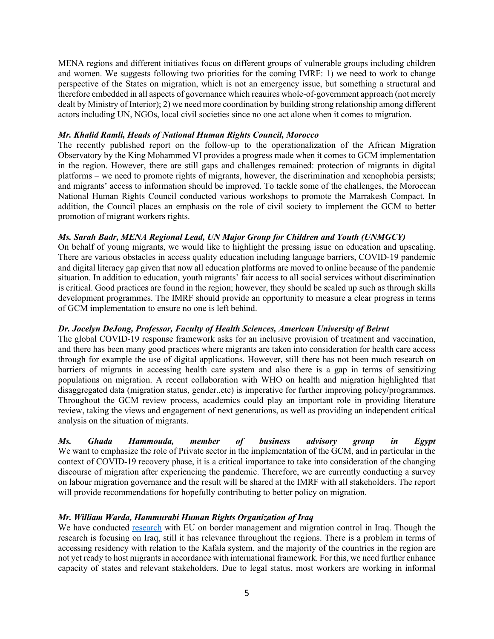MENA regions and different initiatives focus on different groups of vulnerable groups including children and women. We suggests following two priorities for the coming IMRF: 1) we need to work to change perspective of the States on migration, which is not an emergency issue, but something a structural and therefore embedded in all aspects of governance which reauires whole-of-government approach (not merely dealt by Ministry of Interior); 2) we need more coordination by building strong relationship among different actors including UN, NGOs, local civil societies since no one act alone when it comes to migration.

#### *Mr. Khalid Ramli, Heads of National Human Rights Council, Morocco*

The recently published report on the follow-up to the operationalization of the African Migration Observatory by the King Mohammed VI provides a progress made when it comes to GCM implementation in the region. However, there are still gaps and challenges remained: protection of migrants in digital platforms – we need to promote rights of migrants, however, the discrimination and xenophobia persists; and migrants' access to information should be improved. To tackle some of the challenges, the Moroccan National Human Rights Council conducted various workshops to promote the Marrakesh Compact. In addition, the Council places an emphasis on the role of civil society to implement the GCM to better promotion of migrant workers rights.

# *Ms. Sarah Badr, MENA Regional Lead, UN Major Group for Children and Youth (UNMGCY)*

On behalf of young migrants, we would like to highlight the pressing issue on education and upscaling. There are various obstacles in access quality education including language barriers, COVID-19 pandemic and digital literacy gap given that now all education platforms are moved to online because of the pandemic situation. In addition to education, youth migrants' fair access to all social services without discrimination is critical. Good practices are found in the region; however, they should be scaled up such as through skills development programmes. The IMRF should provide an opportunity to measure a clear progress in terms of GCM implementation to ensure no one is left behind.

# *Dr. Jocelyn DeJong, Professor, Faculty of Health Sciences, American University of Beirut*

The global COVID-19 response framework asks for an inclusive provision of treatment and vaccination, and there has been many good practices where migrants are taken into consideration for health care access through for example the use of digital applications. However, still there has not been much research on barriers of migrants in accessing health care system and also there is a gap in terms of sensitizing populations on migration. A recent collaboration with WHO on health and migration highlighted that disaggregated data (migration status, gender..etc) is imperative for further improving policy/programmes. Throughout the GCM review process, academics could play an important role in providing literature review, taking the views and engagement of next generations, as well as providing an independent critical analysis on the situation of migrants.

*Ms. Ghada Hammouda, member of business advisory group in Egypt* We want to emphasize the role of Private sector in the implementation of the GCM, and in particular in the context of COVID-19 recovery phase, it is a critical importance to take into consideration of the changing discourse of migration after experiencing the pandemic. Therefore, we are currently conducting a survey on labour migration governance and the result will be shared at the IMRF with all stakeholders. The report will provide recommendations for hopefully contributing to better policy on migration.

#### *Mr. William Warda, Hammurabi Human Rights Organization of Iraq*

We have conducted research with EU on border management and migration control in Iraq. Though the research is focusing on Iraq, still it has relevance throughout the regions. There is a problem in terms of accessing residency with relation to the Kafala system, and the majority of the countries in the region are not yet ready to host migrants in accordance with international framework. For this, we need further enhance capacity of states and relevant stakeholders. Due to legal status, most workers are working in informal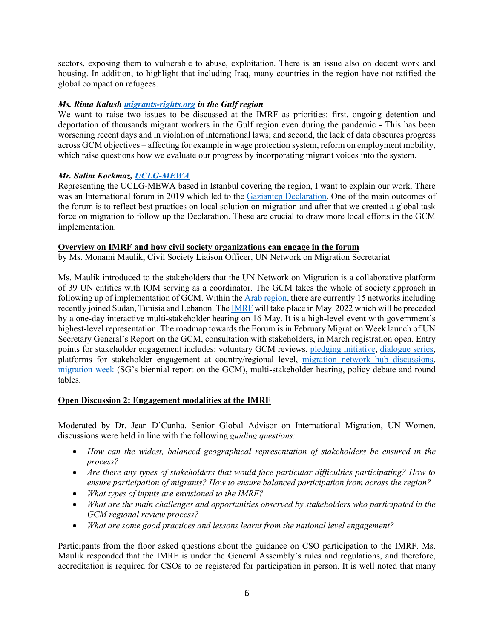sectors, exposing them to vulnerable to abuse, exploitation. There is an issue also on decent work and housing. In addition, to highlight that including Iraq, many countries in the region have not ratified the global compact on refugees.

#### *Ms. Rima Kalush migrants-rights.org in the Gulf region*

We want to raise two issues to be discussed at the IMRF as priorities: first, ongoing detention and deportation of thousands migrant workers in the Gulf region even during the pandemic - This has been worsening recent days and in violation of international laws; and second, the lack of data obscures progress across GCM objectives – affecting for example in wage protection system, reform on employment mobility, which raise questions how we evaluate our progress by incorporating migrant voices into the system.

# *Mr. Salim Korkmaz, UCLG-MEWA*

Representing the UCLG-MEWA based in Istanbul covering the region, I want to explain our work. There was an International forum in 2019 which led to the Gaziantep Declaration. One of the main outcomes of the forum is to reflect best practices on local solution on migration and after that we created a global task force on migration to follow up the Declaration. These are crucial to draw more local efforts in the GCM implementation.

#### **Overview on IMRF and how civil society organizations can engage in the forum**

by Ms. Monami Maulik, Civil Society Liaison Officer, UN Network on Migration Secretariat

Ms. Maulik introduced to the stakeholders that the UN Network on Migration is a collaborative platform of 39 UN entities with IOM serving as a coordinator. The GCM takes the whole of society approach in following up of implementation of GCM. Within the Arab region, there are currently 15 networks including recently joined Sudan, Tunisia and Lebanon. The IMRF will take place in May 2022 which will be preceded by a one-day interactive multi-stakeholder hearing on 16 May. It is a high-level event with government's highest-level representation. The roadmap towards the Forum is in February Migration Week launch of UN Secretary General's Report on the GCM, consultation with stakeholders, in March registration open. Entry points for stakeholder engagement includes: voluntary GCM reviews, pledging initiative, dialogue series, platforms for stakeholder engagement at country/regional level, migration network hub discussions, migration week (SG's biennial report on the GCM), multi-stakeholder hearing, policy debate and round tables.

#### **Open Discussion 2: Engagement modalities at the IMRF**

Moderated by Dr. Jean D'Cunha, Senior Global Advisor on International Migration, UN Women, discussions were held in line with the following *guiding questions:*

- *How can the widest, balanced geographical representation of stakeholders be ensured in the process?*
- *Are there any types of stakeholders that would face particular difficulties participating? How to ensure participation of migrants? How to ensure balanced participation from across the region?*
- *What types of inputs are envisioned to the IMRF?*
- *What are the main challenges and opportunities observed by stakeholders who participated in the GCM regional review process?*
- *What are some good practices and lessons learnt from the national level engagement?*

Participants from the floor asked questions about the guidance on CSO participation to the IMRF. Ms. Maulik responded that the IMRF is under the General Assembly's rules and regulations, and therefore, accreditation is required for CSOs to be registered for participation in person. It is well noted that many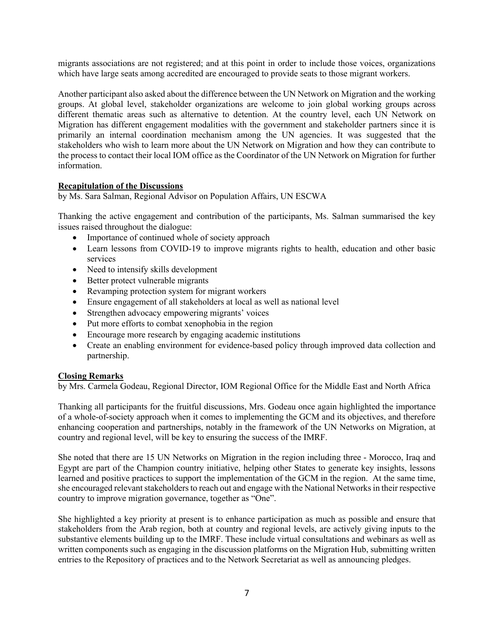migrants associations are not registered; and at this point in order to include those voices, organizations which have large seats among accredited are encouraged to provide seats to those migrant workers.

Another participant also asked about the difference between the UN Network on Migration and the working groups. At global level, stakeholder organizations are welcome to join global working groups across different thematic areas such as alternative to detention. At the country level, each UN Network on Migration has different engagement modalities with the government and stakeholder partners since it is primarily an internal coordination mechanism among the UN agencies. It was suggested that the stakeholders who wish to learn more about the UN Network on Migration and how they can contribute to the process to contact their local IOM office as the Coordinator of the UN Network on Migration for further information.

#### **Recapitulation of the Discussions**

by Ms. Sara Salman, Regional Advisor on Population Affairs, UN ESCWA

Thanking the active engagement and contribution of the participants, Ms. Salman summarised the key issues raised throughout the dialogue:

- Importance of continued whole of society approach
- Learn lessons from COVID-19 to improve migrants rights to health, education and other basic services
- Need to intensify skills development
- Better protect vulnerable migrants
- Revamping protection system for migrant workers
- Ensure engagement of all stakeholders at local as well as national level
- Strengthen advocacy empowering migrants' voices
- Put more efforts to combat xenophobia in the region
- Encourage more research by engaging academic institutions
- Create an enabling environment for evidence-based policy through improved data collection and partnership.

#### **Closing Remarks**

by Mrs. Carmela Godeau, Regional Director, IOM Regional Office for the Middle East and North Africa

Thanking all participants for the fruitful discussions, Mrs. Godeau once again highlighted the importance of a whole-of-society approach when it comes to implementing the GCM and its objectives, and therefore enhancing cooperation and partnerships, notably in the framework of the UN Networks on Migration, at country and regional level, will be key to ensuring the success of the IMRF.

She noted that there are 15 UN Networks on Migration in the region including three - Morocco, Iraq and Egypt are part of the Champion country initiative, helping other States to generate key insights, lessons learned and positive practices to support the implementation of the GCM in the region. At the same time, she encouraged relevant stakeholders to reach out and engage with the National Networks in their respective country to improve migration governance, together as "One".

She highlighted a key priority at present is to enhance participation as much as possible and ensure that stakeholders from the Arab region, both at country and regional levels, are actively giving inputs to the substantive elements building up to the IMRF. These include virtual consultations and webinars as well as written components such as engaging in the discussion platforms on the Migration Hub, submitting written entries to the Repository of practices and to the Network Secretariat as well as announcing pledges.